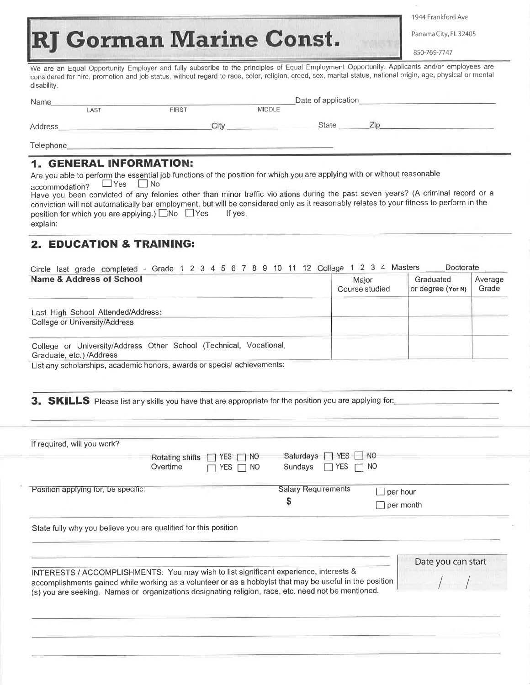<sup>1</sup>944 Frankford Ave

Panama City, FL 32405

850-769-7747

**RJ Gorman Marine Const.** 

We are an Equal Opportunity Employer and fully subscribe to the principles of Equal Employment Opportunity. Applicants and/or employees are considered for hire, promotion and job status, without regard to race, color, religion, creed, sex, marital status, national origin, age, physical or mental disability.

| Name             |      | Date of application |               |              |  |  |
|------------------|------|---------------------|---------------|--------------|--|--|
|                  | LAST | <b>FIRST</b>        | <b>MIDDLE</b> |              |  |  |
| Address          |      | City                |               | <b>State</b> |  |  |
| <b>Telephone</b> |      |                     |               |              |  |  |

## 1. GENERAL INFORMATION:

| explain:                                                   |                                                                                                                                          |
|------------------------------------------------------------|------------------------------------------------------------------------------------------------------------------------------------------|
| position for which you are applying.) $\Box$ No $\Box$ Yes | lf ves.                                                                                                                                  |
|                                                            | conviction will not automatically bar employment, but will be considered only as it reasonably relates to your fitness to perform in the |
|                                                            | Have you been convicted of any felonies other than minor traffic violations during the past seven years? (A criminal record or a         |
| accommodation? □ Yes □ No                                  |                                                                                                                                          |
|                                                            |                                                                                                                                          |
|                                                            | Are you able to perform the essential job functions of the position for which you are applying with or without reasonable                |
|                                                            |                                                                                                                                          |

## 2. EDUCATION & TRAINING:

| Circle last grade completed - Grade 1 2 3 4 5 6 7 8 9 10 11 12 College 1 2 3 4 Masters<br>Name & Address of School | Maior<br>Course studied | Doctorate<br>Graduated<br>or degree (Yor N) | Average<br>Grade |
|--------------------------------------------------------------------------------------------------------------------|-------------------------|---------------------------------------------|------------------|
| Last High School Attended/Address:<br>College or University/Address                                                |                         |                                             |                  |
| College or University/Address Other School (Technical, Vocational,<br>Graduate, etc.) /Address                     |                         |                                             |                  |

List any scholarships, academic honors, awards or special achievements:

3. SKILLS Please list any skills you have that are appropriate for the position you are applying for:

| If required, will you work?                                                           |                 |                   |                            |                  |                    |
|---------------------------------------------------------------------------------------|-----------------|-------------------|----------------------------|------------------|--------------------|
|                                                                                       | Rotating shifts | □ NO<br>YES-<br>t | Saturdays   YES   NO       |                  |                    |
|                                                                                       | Overtime        | ΝO<br>⁄ES.        | Sundays<br>YES.            | NO.              |                    |
| Position applying for, be specific:                                                   |                 |                   | <b>Salary Requirements</b> | $\Box$ per hour  |                    |
|                                                                                       |                 |                   | \$                         | $\Box$ per month |                    |
| State fully why you believe you are qualified for this position                       |                 |                   |                            |                  |                    |
|                                                                                       |                 |                   |                            |                  | Date you can start |
| INTERESTS / ACCOMPLISHMENTS: You may wish to list significant experience, interests & |                 |                   |                            |                  |                    |